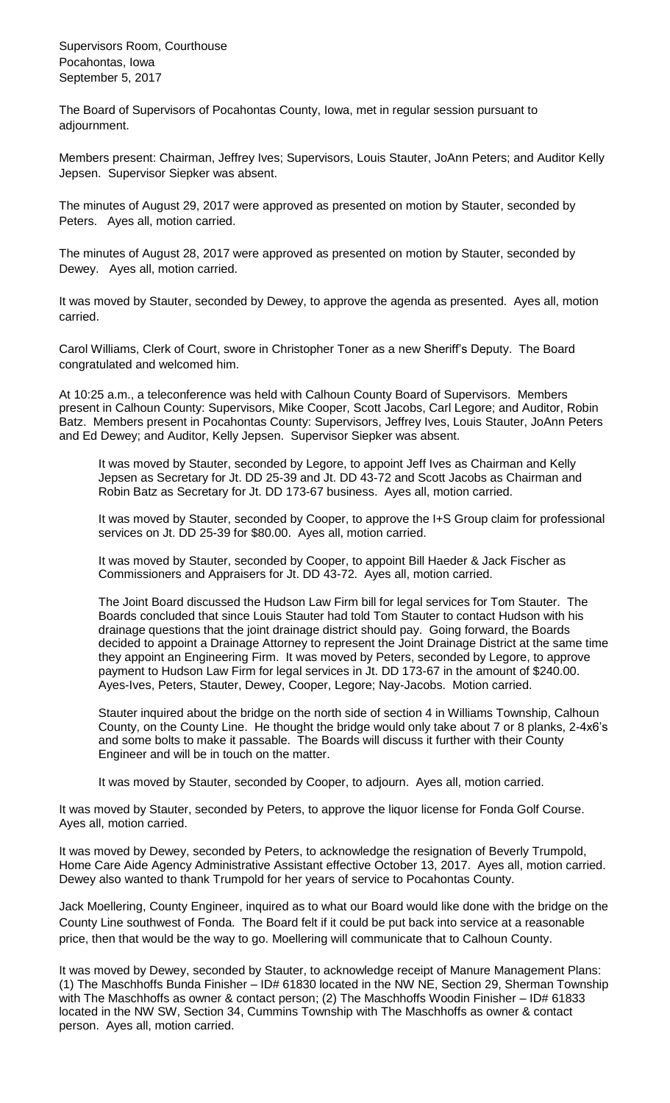Supervisors Room, Courthouse Pocahontas, Iowa September 5, 2017

The Board of Supervisors of Pocahontas County, Iowa, met in regular session pursuant to adjournment.

Members present: Chairman, Jeffrey Ives; Supervisors, Louis Stauter, JoAnn Peters; and Auditor Kelly Jepsen. Supervisor Siepker was absent.

The minutes of August 29, 2017 were approved as presented on motion by Stauter, seconded by Peters. Ayes all, motion carried.

The minutes of August 28, 2017 were approved as presented on motion by Stauter, seconded by Dewey. Ayes all, motion carried.

It was moved by Stauter, seconded by Dewey, to approve the agenda as presented. Ayes all, motion carried.

Carol Williams, Clerk of Court, swore in Christopher Toner as a new Sheriff's Deputy. The Board congratulated and welcomed him.

At 10:25 a.m., a teleconference was held with Calhoun County Board of Supervisors. Members present in Calhoun County: Supervisors, Mike Cooper, Scott Jacobs, Carl Legore; and Auditor, Robin Batz. Members present in Pocahontas County: Supervisors, Jeffrey Ives, Louis Stauter, JoAnn Peters and Ed Dewey; and Auditor, Kelly Jepsen. Supervisor Siepker was absent.

It was moved by Stauter, seconded by Legore, to appoint Jeff Ives as Chairman and Kelly Jepsen as Secretary for Jt. DD 25-39 and Jt. DD 43-72 and Scott Jacobs as Chairman and Robin Batz as Secretary for Jt. DD 173-67 business. Ayes all, motion carried.

It was moved by Stauter, seconded by Cooper, to approve the I+S Group claim for professional services on Jt. DD 25-39 for \$80.00. Ayes all, motion carried.

It was moved by Stauter, seconded by Cooper, to appoint Bill Haeder & Jack Fischer as Commissioners and Appraisers for Jt. DD 43-72. Ayes all, motion carried.

The Joint Board discussed the Hudson Law Firm bill for legal services for Tom Stauter. The Boards concluded that since Louis Stauter had told Tom Stauter to contact Hudson with his drainage questions that the joint drainage district should pay. Going forward, the Boards decided to appoint a Drainage Attorney to represent the Joint Drainage District at the same time they appoint an Engineering Firm. It was moved by Peters, seconded by Legore, to approve payment to Hudson Law Firm for legal services in Jt. DD 173-67 in the amount of \$240.00. Ayes-Ives, Peters, Stauter, Dewey, Cooper, Legore; Nay-Jacobs. Motion carried.

Stauter inquired about the bridge on the north side of section 4 in Williams Township, Calhoun County, on the County Line. He thought the bridge would only take about 7 or 8 planks, 2-4x6's and some bolts to make it passable. The Boards will discuss it further with their County Engineer and will be in touch on the matter.

It was moved by Stauter, seconded by Cooper, to adjourn. Ayes all, motion carried.

It was moved by Stauter, seconded by Peters, to approve the liquor license for Fonda Golf Course. Ayes all, motion carried.

It was moved by Dewey, seconded by Peters, to acknowledge the resignation of Beverly Trumpold, Home Care Aide Agency Administrative Assistant effective October 13, 2017. Ayes all, motion carried. Dewey also wanted to thank Trumpold for her years of service to Pocahontas County.

Jack Moellering, County Engineer, inquired as to what our Board would like done with the bridge on the County Line southwest of Fonda. The Board felt if it could be put back into service at a reasonable price, then that would be the way to go. Moellering will communicate that to Calhoun County.

It was moved by Dewey, seconded by Stauter, to acknowledge receipt of Manure Management Plans: (1) The Maschhoffs Bunda Finisher – ID# 61830 located in the NW NE, Section 29, Sherman Township with The Maschhoffs as owner & contact person; (2) The Maschhoffs Woodin Finisher – ID# 61833 located in the NW SW, Section 34, Cummins Township with The Maschhoffs as owner & contact person. Ayes all, motion carried.